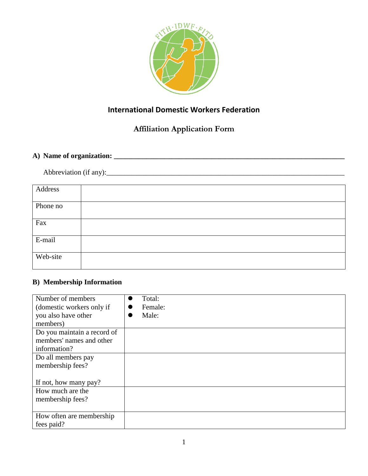

## **International Domestic Workers Federation**

# **Affiliation Application Form**

## **A) Name of organization: \_\_\_\_\_\_\_\_\_\_\_\_\_\_\_\_\_\_\_\_\_\_\_\_\_\_\_\_\_\_\_\_\_\_\_\_\_\_\_\_\_\_\_\_\_\_\_\_\_\_\_\_\_\_\_\_\_\_\_\_\_\_\_\_**

Abbreviation (if any):\_\_\_\_\_\_\_\_\_\_\_\_\_\_\_\_\_\_\_\_\_\_\_\_\_\_\_\_\_\_\_\_\_\_\_\_\_\_\_\_\_\_\_\_\_\_\_\_\_\_\_\_\_\_\_\_\_\_\_\_\_\_\_\_\_\_

| Address  |  |
|----------|--|
| Phone no |  |
| Fax      |  |
| E-mail   |  |
| Web-site |  |

### **B) Membership Information**

| Number of members           | Total:  |
|-----------------------------|---------|
| (domestic workers only if   | Female: |
| you also have other         | Male:   |
| members)                    |         |
| Do you maintain a record of |         |
| members' names and other    |         |
| information?                |         |
| Do all members pay          |         |
| membership fees?            |         |
|                             |         |
| If not, how many pay?       |         |
| How much are the            |         |
| membership fees?            |         |
|                             |         |
| How often are membership    |         |
| fees paid?                  |         |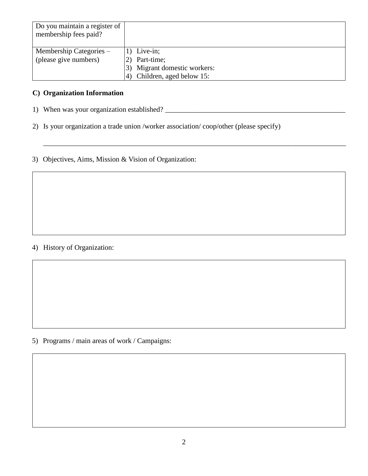| Do you maintain a register of<br>membership fees paid? |                                 |
|--------------------------------------------------------|---------------------------------|
| Membership Categories –                                | 1) Live-in;                     |
| (please give numbers)                                  | Part-time;                      |
|                                                        | Migrant domestic workers:<br>3) |
|                                                        | Children, aged below 15:        |

\_\_\_\_\_\_\_\_\_\_\_\_\_\_\_\_\_\_\_\_\_\_\_\_\_\_\_\_\_\_\_\_\_\_\_\_\_\_\_\_\_\_\_\_\_\_\_\_\_\_\_\_\_\_\_\_\_\_\_\_\_\_\_\_\_\_\_\_\_\_\_\_\_\_\_\_\_\_\_\_\_\_\_\_

#### **C) Organization Information**

1) When was your organization established? \_\_\_\_\_\_\_\_\_\_\_\_\_\_\_\_\_\_\_\_\_\_\_\_\_\_\_\_\_\_\_\_\_\_\_\_\_\_\_\_\_\_\_\_\_\_\_\_\_\_

2) Is your organization a trade union /worker association/ coop/other (please specify)

3) Objectives, Aims, Mission & Vision of Organization:

### 4) History of Organization:

5) Programs / main areas of work / Campaigns: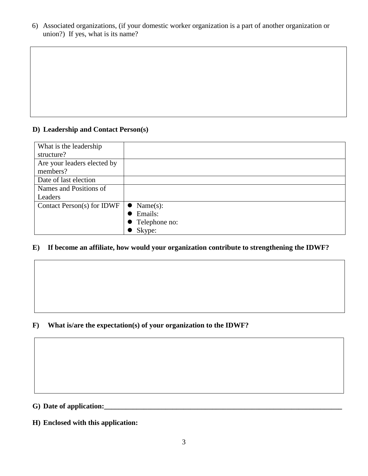6) Associated organizations, (if your domestic worker organization is a part of another organization or union?) If yes, what is its name?

### **D) Leadership and Contact Person(s)**

| What is the leadership<br>structure?    |                       |
|-----------------------------------------|-----------------------|
| Are your leaders elected by<br>members? |                       |
| Date of last election                   |                       |
| Names and Positions of                  |                       |
| Leaders                                 |                       |
| Contact Person(s) for IDWF              | Name(s):<br>$\bullet$ |
|                                         | Emails:               |
|                                         | • Telephone no:       |
|                                         | Skype:                |

### **E) If become an affiliate, how would your organization contribute to strengthening the IDWF?**

#### **F) What is/are the expectation(s) of your organization to the IDWF?**

**G) Date of application:\_\_\_\_\_\_\_\_\_\_\_\_\_\_\_\_\_\_\_\_\_\_\_\_\_\_\_\_\_\_\_\_\_\_\_\_\_\_\_\_\_\_\_\_\_\_\_\_\_\_\_\_\_\_\_\_\_\_\_\_\_\_\_\_\_\_**

**H) Enclosed with this application:**